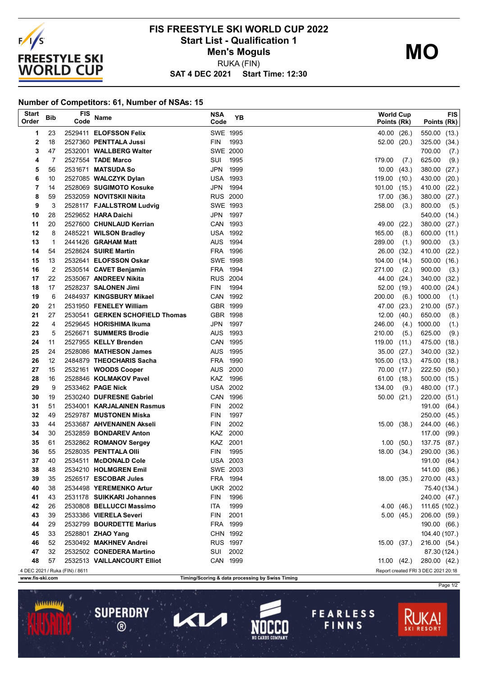

## **SAT 4 DEC 2021 Start Time: 12:30 FIS FREESTYLE SKI WORLD CUP 2022 Start List - Qualification 1 Men's Moguls** RUKA (FIN)

**Number of Competitors: 61, Number of NSAs: 15**

**SUPERDRY** 

 $\circledR$ 

 $\blacktriangle$ l

| <b>Start</b><br>Order | <b>Bib</b>     | <b>FIS</b><br>Code             | Name                                                     | <b>NSA</b><br>Code | YΒ   | World Cup<br>Points (Rk) |       | Points (Rk)                         | <b>FIS</b> |
|-----------------------|----------------|--------------------------------|----------------------------------------------------------|--------------------|------|--------------------------|-------|-------------------------------------|------------|
| 1                     | 23             |                                | 2529411 ELOFSSON Felix                                   | SWE 1995           |      | 40.00 (26.)              |       | 550.00                              | (13.)      |
| $\mathbf 2$           | 18             |                                | 2527360 PENTTALA Jussi                                   | FIN                | 1993 | 52.00                    | (20.) | 325.00                              | (34.)      |
| 3                     | 47             |                                | 2532001 WALLBERG Walter                                  | <b>SWE 2000</b>    |      |                          |       | 700.00                              | (7.)       |
| 4                     | 7              |                                | 2527554 TADE Marco                                       | SUI                | 1995 | 179.00                   | (7.)  | 625.00                              | (9.)       |
| 5                     | 56             |                                | 2531671 MATSUDA So                                       | JPN                | 1999 | 10.00                    | (43.) | 380.00                              | (27.)      |
| 6                     | 10             |                                | 2527085 WALCZYK Dylan                                    | <b>USA 1993</b>    |      | 119.00                   | (10.) | 430.00                              | (20.)      |
| 7                     | 14             |                                | 2528069 SUGIMOTO Kosuke                                  | JPN                | 1994 | 101.00                   | (15.) | 410.00                              | (22.)      |
| 8                     | 59             |                                | 2532059 NOVITSKII Nikita                                 | <b>RUS 2000</b>    |      | 17.00                    | (36.) | 380.00                              | (27.)      |
| 9                     | 3              |                                | 2528117 FJALLSTROM Ludvig                                | SWE 1993           |      | 258.00                   | (3.)  | 800.00                              | (5.)       |
| 10                    | 28             |                                | 2529652 HARA Daichi                                      | JPN                | 1997 |                          |       | 540.00                              | (14.)      |
| 11                    | 20             |                                | 2527600 CHUNLAUD Kerrian                                 | CAN 1993           |      | 49.00                    | (22.) | 380.00                              | (27.)      |
| 12                    | 8              |                                | 2485221 WILSON Bradley                                   | <b>USA 1992</b>    |      | 165.00                   | (8.)  | 600.00                              | (11.)      |
| 13                    | $\mathbf{1}$   |                                | 2441426 <b>GRAHAM Matt</b>                               | AUS                | 1994 | 289.00                   | (1.)  | 900.00                              | (3.)       |
| 14                    | 54             |                                | 2528624 SUIRE Martin                                     | FRA                | 1996 | 26.00                    | (32.) | 410.00                              | (22.)      |
| 15                    | 13             |                                | 2532641 ELOFSSON Oskar                                   | SWE 1998           |      | 104.00                   | (14.) | 500.00                              | (16.)      |
| 16                    | $\overline{2}$ |                                | 2530514 CAVET Benjamin                                   | FRA 1994           |      | 271.00                   | (2.)  | 900.00                              | (3.)       |
| 17                    | 22             |                                | 2535067 ANDREEV Nikita                                   | <b>RUS 2004</b>    |      | 44.00                    | (24.) | 340.00                              | (32.)      |
| 18                    | 17             |                                | 2528237 SALONEN Jimi                                     | <b>FIN</b>         | 1994 | 52.00                    | (19.) | 400.00                              | (24.)      |
| 19                    | 6              |                                | 2484937 KINGSBURY Mikael                                 | CAN 1992           |      | 200.00                   | (6.)  | 1000.00                             | (1.)       |
| 20                    | 21             |                                | 2531950 FENELEY William                                  | GBR 1999           |      | 47.00                    | (23.) | 210.00                              | (57.)      |
| 21                    | 27             |                                | 2530541 GERKEN SCHOFIELD Thomas                          | GBR 1998           |      | 12.00                    | (40.) | 650.00                              | (8.)       |
| 22                    | $\overline{4}$ |                                | 2529645 HORISHIMA Ikuma                                  | JPN 1997           |      | 246.00                   | (4.)  | 1000.00                             | (1.)       |
| 23                    | 5              |                                | 2526671 SUMMERS Brodie                                   | <b>AUS</b>         | 1993 | 210.00                   | (5.)  | 625.00                              | (9.)       |
| 24                    | 11             |                                | 2527955 KELLY Brenden                                    | CAN 1995           |      | 119.00                   | (11.) | 475.00                              | (18.)      |
| 25                    | 24             |                                | 2528086 MATHESON James                                   | AUS 1995           |      | 35.00                    | (27.) | 340.00                              | (32.)      |
| 26                    | 12             |                                | 2484879 THEOCHARIS Sacha                                 | FRA                | 1990 | 105.00                   | (13.) | 475.00                              | (18.)      |
| 27                    | 15             |                                | 2532161 WOODS Cooper                                     | <b>AUS</b>         | 2000 | 70.00 (17.)              |       | 222.50                              | (50.)      |
| 28                    | 16             |                                | 2528846 KOLMAKOV Pavel                                   | KAZ                | 1996 | 61.00                    | (18.) | 500.00                              | (15.)      |
| 29                    | 9              |                                | 2533462 PAGE Nick                                        | <b>USA 2002</b>    |      | 134.00                   | (9.)  | 480.00                              | (17.)      |
| 30                    | 19             |                                | 2530240 DUFRESNE Gabriel                                 | CAN 1996           |      | 50.00                    | (21.) | 220.00                              | (51)       |
| 31                    | 51             |                                | 2534001 KARJALAINEN Rasmus                               | <b>FIN</b>         | 2002 |                          |       | 191.00                              | (64.)      |
| 32                    | 49             |                                | 2529787 MUSTONEN Miska                                   | <b>FIN</b>         | 1997 |                          |       | 250.00                              | (45.)      |
| 33                    | 44             |                                | 2533687 AHVENAINEN Akseli                                | <b>FIN</b>         | 2002 | 15.00                    | (38.) | 244.00                              | (46.)      |
| 34                    | 30             |                                | 2532859 BONDAREV Anton                                   | KAZ 2000           |      |                          |       | 117.00                              | (99.)      |
| 35                    | 61             |                                | 2532862 ROMANOV Sergey                                   | KAZ 2001           |      | 1.00                     | (50.) | 137.75                              | (87.)      |
| 36                    | 55             |                                | 2528035 PENTTALA OIII                                    | <b>FIN</b>         | 1995 | 18.00                    | (34.) | 290.00                              | (36.)      |
| 37                    | 40             |                                | 2534511 McDONALD Cole                                    | <b>USA 2003</b>    |      |                          |       | 191.00 (64.)                        |            |
| 38                    | 48             |                                | 2534210 HOLMGREN Emil                                    | SWE 2003           |      |                          |       | 141.00 (86.)                        |            |
| 39                    | 35             |                                | 2526517 ESCOBAR Jules                                    | FRA 1994           |      | 18.00(35)                |       | 270.00 (43.)                        |            |
| 40                    | 38             |                                | 2534498 YEREMENKO Artur                                  | <b>UKR 2002</b>    |      |                          |       | 75.40 (134.)                        |            |
| 41                    | 43             |                                | 2531178 SUIKKARI Johannes                                | <b>FIN</b>         | 1996 |                          |       | 240.00 (47.)                        |            |
| 42                    | 26             |                                | 2530808 BELLUCCI Massimo                                 | ITA                | 1999 | 4.00(46.)                |       | 111.65 (102.)                       |            |
| 43                    | 39             |                                | 2533386 VIERELA Severi                                   | FIN 2001           |      | 5.00(45.)                |       | 206.00 (59.)                        |            |
| 44                    | 29             |                                | 2532799 BOURDETTE Marius                                 | FRA 1999           |      |                          |       | 190.00 (66.)                        |            |
| 45                    | 33             |                                | 2528801 ZHAO Yang                                        | CHN 1992           |      |                          |       |                                     |            |
| 46                    | 52             |                                | 2530492 MAKHNEV Andrei                                   | <b>RUS 1997</b>    |      |                          |       | 104.40 (107.)                       |            |
| 47                    |                |                                | 2532502 CONEDERA Martino                                 | SUI 2002           |      | 15.00 (37.)              |       | 216.00 (54.)                        |            |
|                       | 32             |                                |                                                          |                    |      |                          |       | 87.30 (124.)                        |            |
| 48                    | 57             |                                | 2532513 VAILLANCOURT Elliot                              | CAN 1999           |      | 11.00 (42.)              |       | 280.00 (42.)                        |            |
|                       |                | 4 DEC 2021 / Ruka (FIN) / 8611 | $\mathbf{F}$ is a state of $\mathbf{G}$ and $\mathbf{G}$ |                    |      |                          |       | Report created FRI 3 DEC 2021 20:18 |            |

**www.fis-ski.com Timing/Scoring & data processing by Swiss Timing**

Page 1/2

**FEARLESS** 

FINNS

**MO**